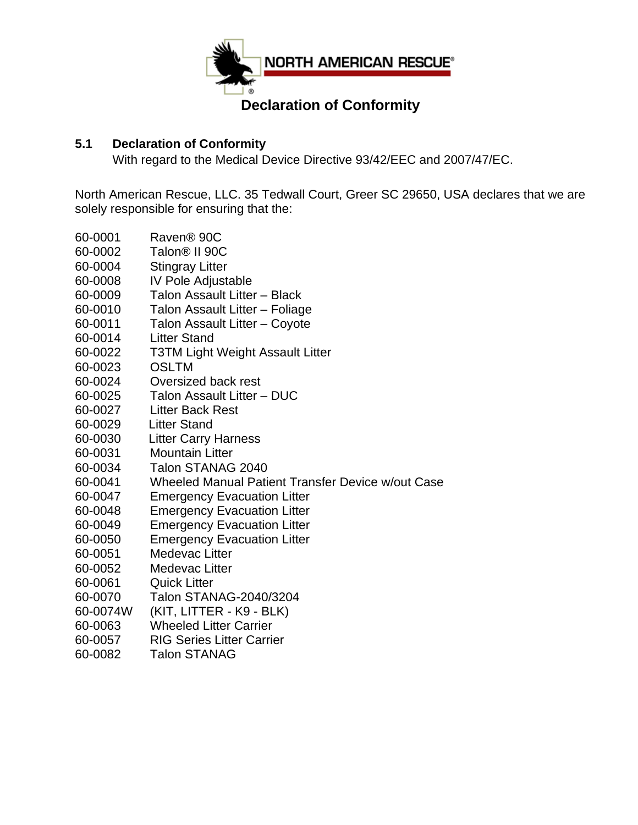

## **Declaration of Conformity**

## **5.1 Declaration of Conformity**

With regard to the Medical Device Directive 93/42/EEC and 2007/47/EC.

North American Rescue, LLC. 35 Tedwall Court, Greer SC 29650, USA declares that we are solely responsible for ensuring that the:

- 60-0001 Raven® 90C 60-0002 Talon® II 90C 60-0004 Stingray Litter 60-0008 IV Pole Adjustable 60-0009 Talon Assault Litter – Black 60-0010 Talon Assault Litter – Foliage 60-0011 Talon Assault Litter – Coyote 60-0014 Litter Stand 60-0022 T3TM Light Weight Assault Litter 60-0023 OSLTM 60-0024 Oversized back rest 60-0025 Talon Assault Litter – DUC 60-0027 Litter Back Rest 60-0029 Litter Stand 60-0030 Litter Carry Harness 60-0031 Mountain Litter 60-0034 Talon STANAG 2040 60-0041 Wheeled Manual Patient Transfer Device w/out Case 60-0047 Emergency Evacuation Litter 60-0048 Emergency Evacuation Litter 60-0049 Emergency Evacuation Litter 60-0050 Emergency Evacuation Litter 60-0051 Medevac Litter 60-0052 Medevac Litter 60-0061 Quick Litter 60-0070 Talon STANAG-2040/3204 60-0074W (KIT, LITTER - K9 - BLK)
- 60-0063 Wheeled Litter Carrier
- 60-0057 RIG Series Litter Carrier
- 60-0082 Talon STANAG